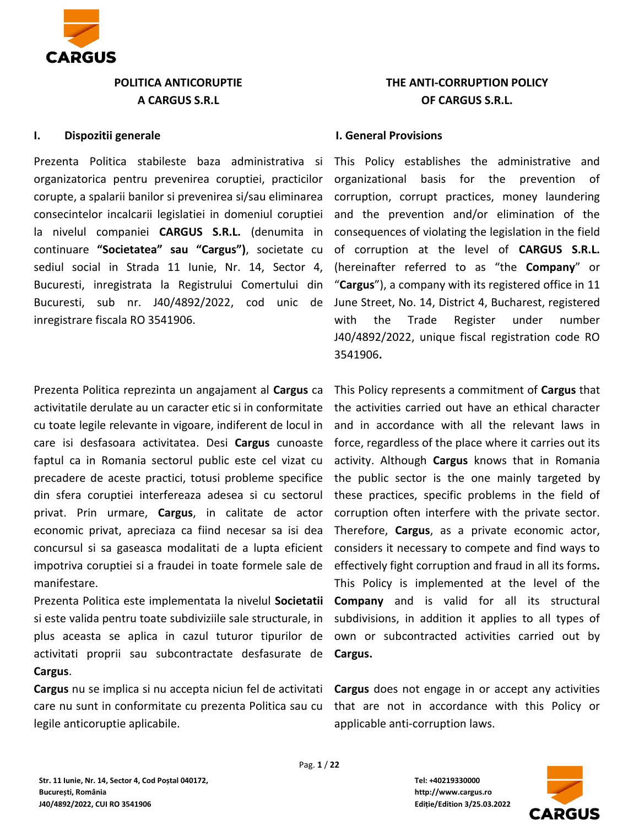

# **POLITICA ANTICORUPTIE A CARGUS S.R.L**

#### **I. Dispozitii generale**

Prezenta Politica stabileste baza administrativa si organizatorica pentru prevenirea coruptiei, practicilor corupte, a spalarii banilor si prevenirea si/sau eliminarea consecintelor incalcarii legislatiei in domeniul coruptiei la nivelul companiei **CARGUS S.R.L.** (denumita in continuare **"Societatea" sau "Cargus")**, societate cu sediul social in Strada 11 Iunie, Nr. 14, Sector 4, Bucuresti, inregistrata la Registrului Comertului din Bucuresti, sub nr. J40/4892/2022, cod unic de inregistrare fiscala RO 3541906.

Prezenta Politica reprezinta un angajament al **Cargus** ca activitatile derulate au un caracter etic si in conformitate cu toate legile relevante in vigoare, indiferent de locul in care isi desfasoara activitatea. Desi **Cargus** cunoaste faptul ca in Romania sectorul public este cel vizat cu precadere de aceste practici, totusi probleme specifice din sfera coruptiei interfereaza adesea si cu sectorul privat. Prin urmare, **Cargus**, in calitate de actor economic privat, apreciaza ca fiind necesar sa isi dea concursul si sa gaseasca modalitati de a lupta eficient impotriva coruptiei si a fraudei in toate formele sale de manifestare.

Prezenta Politica este implementata la nivelul **Societatii** si este valida pentru toate subdiviziile sale structurale, in plus aceasta se aplica in cazul tuturor tipurilor de activitati proprii sau subcontractate desfasurate de **Cargus**.

**Cargus** nu se implica si nu accepta niciun fel de activitati care nu sunt in conformitate cu prezenta Politica sau cu legile anticoruptie aplicabile.

# **THE ANTI-CORRUPTION POLICY OF CARGUS S.R.L.**

## **I. General Provisions**

This Policy establishes the administrative and organizational basis for the prevention of corruption, corrupt practices, money laundering and the prevention and/or elimination of the consequences of violating the legislation in the field of corruption at the level of **CARGUS S.R.L.** (hereinafter referred to as "the **Company**" or "**Cargus**"), a company with its registered office in 11 June Street, No. 14, District 4, Bucharest, registered with the Trade Register under number J40/4892/2022, unique fiscal registration code RO 3541906**.** 

This Policy represents a commitment of **Cargus** that the activities carried out have an ethical character and in accordance with all the relevant laws in force, regardless of the place where it carries out its activity. Although **Cargus** knows that in Romania the public sector is the one mainly targeted by these practices, specific problems in the field of corruption often interfere with the private sector. Therefore, **Cargus**, as a private economic actor, considers it necessary to compete and find ways to effectively fight corruption and fraud in all its forms**.** This Policy is implemented at the level of the **Company** and is valid for all its structural subdivisions, in addition it applies to all types of own or subcontracted activities carried out by **Cargus.**

**Cargus** does not engage in or accept any activities that are not in accordance with this Policy or applicable anti-corruption laws.



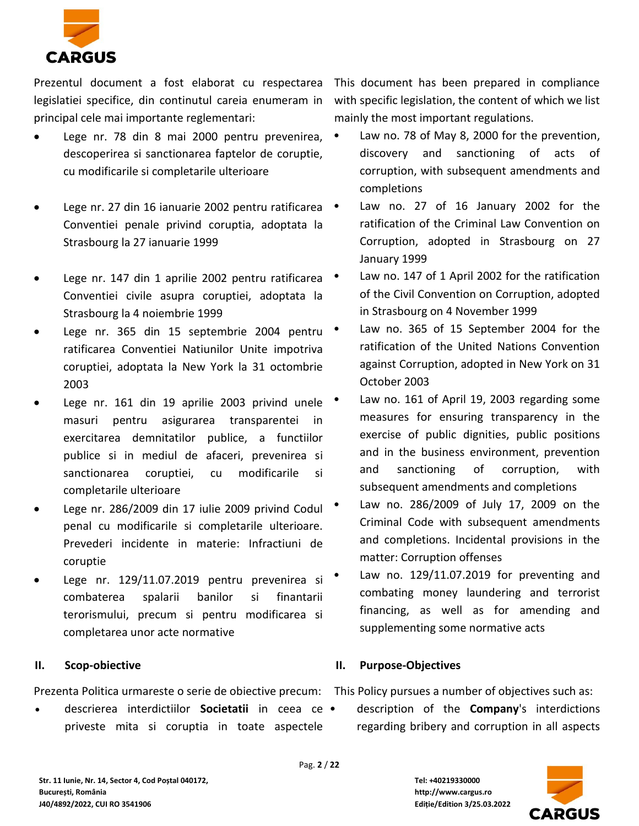

Prezentul document a fost elaborat cu respectarea legislatiei specifice, din continutul careia enumeram in principal cele mai importante reglementari:

- Lege nr. 78 din 8 mai 2000 pentru prevenirea, descoperirea si sanctionarea faptelor de coruptie, cu modificarile si completarile ulterioare
- Lege nr. 27 din 16 ianuarie 2002 pentru ratificarea Conventiei penale privind coruptia, adoptata la Strasbourg la 27 ianuarie 1999
- Lege nr. 147 din 1 aprilie 2002 pentru ratificarea Conventiei civile asupra coruptiei, adoptata la Strasbourg la 4 noiembrie 1999
- Lege nr. 365 din 15 septembrie 2004 pentru ratificarea Conventiei Natiunilor Unite impotriva coruptiei, adoptata la New York la 31 octombrie 2003
- Lege nr. 161 din 19 aprilie 2003 privind unele masuri pentru asigurarea transparentei in exercitarea demnitatilor publice, a functiilor publice si in mediul de afaceri, prevenirea si sanctionarea coruptiei, cu modificarile si completarile ulterioare
- Lege nr. 286/2009 din 17 iulie 2009 privind Codul penal cu modificarile si completarile ulterioare. Prevederi incidente in materie: Infractiuni de coruptie
- Lege nr. 129/11.07.2019 pentru prevenirea si combaterea spalarii banilor si finantarii terorismului, precum si pentru modificarea si completarea unor acte normative

# **II. Scop-obiective**

Prezenta Politica urmareste o serie de obiective precum: This Policy pursues a number of objectives such as:

• descrierea interdictiilor **Societatii** in ceea ce priveste mita si coruptia in toate aspectele

This document has been prepared in compliance with specific legislation, the content of which we list mainly the most important regulations.

- Law no. 78 of May 8, 2000 for the prevention, discovery and sanctioning of acts of corruption, with subsequent amendments and completions
- Law no. 27 of 16 January 2002 for the ratification of the Criminal Law Convention on Corruption, adopted in Strasbourg on 27 January 1999
- Law no. 147 of 1 April 2002 for the ratification of the Civil Convention on Corruption, adopted in Strasbourg on 4 November 1999
- Law no. 365 of 15 September 2004 for the ratification of the United Nations Convention against Corruption, adopted in New York on 31 October 2003
- Law no. 161 of April 19, 2003 regarding some measures for ensuring transparency in the exercise of public dignities, public positions and in the business environment, prevention and sanctioning of corruption, with subsequent amendments and completions
- Law no. 286/2009 of July 17, 2009 on the Criminal Code with subsequent amendments and completions. Incidental provisions in the matter: Corruption offenses
- Law no. 129/11.07.2019 for preventing and combating money laundering and terrorist financing, as well as for amending and supplementing some normative acts

# **II. Purpose-Objectives**

• description of the **Company**'s interdictions regarding bribery and corruption in all aspects

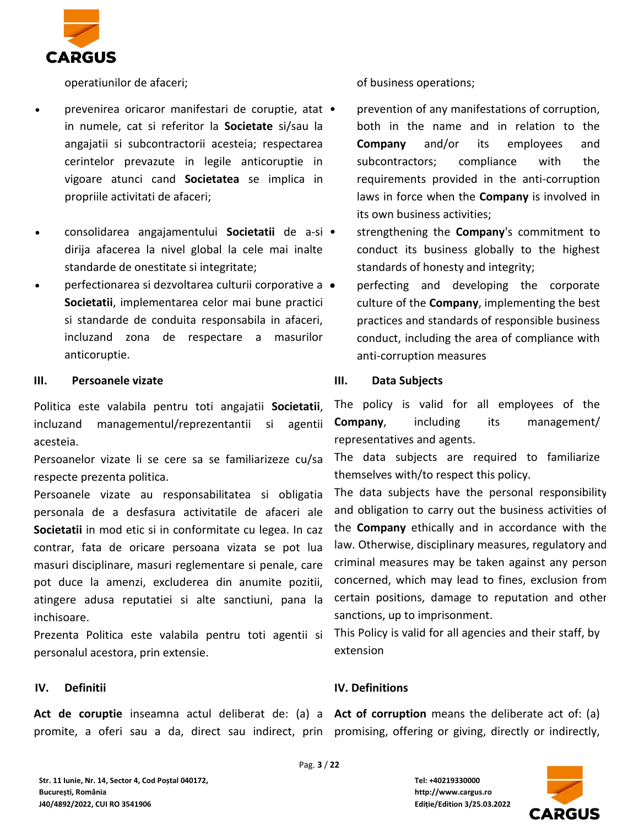

operatiunilor de afaceri;

- prevenirea oricaror manifestari de coruptie, atat in numele, cat si referitor la **Societate** si/sau la angajatii si subcontractorii acesteia; respectarea cerintelor prevazute in legile anticoruptie in vigoare atunci cand **Societatea** se implica in propriile activitati de afaceri;
- consolidarea angajamentului **Societatii** de a-si dirija afacerea la nivel global la cele mai inalte standarde de onestitate si integritate;
- perfectionarea si dezvoltarea culturii corporative a **Societatii**, implementarea celor mai bune practici si standarde de conduita responsabila in afaceri, incluzand zona de respectare a masurilor anticoruptie.

## **III. Persoanele vizate**

Politica este valabila pentru toti angajatii **Societatii**, incluzand managementul/reprezentantii si agentii acesteia.

Persoanelor vizate li se cere sa se familiarizeze cu/sa respecte prezenta politica.

Persoanele vizate au responsabilitatea si obligatia personala de a desfasura activitatile de afaceri ale **Societatii** in mod etic si in conformitate cu legea. In caz contrar, fata de oricare persoana vizata se pot lua masuri disciplinare, masuri reglementare si penale, care pot duce la amenzi, excluderea din anumite pozitii, atingere adusa reputatiei si alte sanctiuni, pana la inchisoare.

Prezenta Politica este valabila pentru toti agentii si personalul acestora, prin extensie.

#### **IV. Definitii**

Act de coruptie inseamna actul deliberat de: (a) a Act of corruption means the deliberate act of: (a) promite, a oferi sau a da, direct sau indirect, prin promising, offering or giving, directly or indirectly,

of business operations;

prevention of any manifestations of corruption, both in the name and in relation to the **Company** and/or its employees and subcontractors; compliance with the requirements provided in the anti-corruption laws in force when the **Company** is involved in its own business activities;

• strengthening the **Company**'s commitment to conduct its business globally to the highest standards of honesty and integrity;

• perfecting and developing the corporate culture of the **Company**, implementing the best practices and standards of responsible business conduct, including the area of compliance with anti-corruption measures

## **III. Data Subjects**

The policy is valid for all employees of the **Company**, including its management/ representatives and agents.

The data subjects are required to familiarize themselves with/to respect this policy.

The data subjects have the personal responsibility and obligation to carry out the business activities of the **Company** ethically and in accordance with the law. Otherwise, disciplinary measures, regulatory and criminal measures may be taken against any person concerned, which may lead to fines, exclusion from certain positions, damage to reputation and other sanctions, up to imprisonment.

This Policy is valid for all agencies and their staff, by extension

# **IV. Definitions**

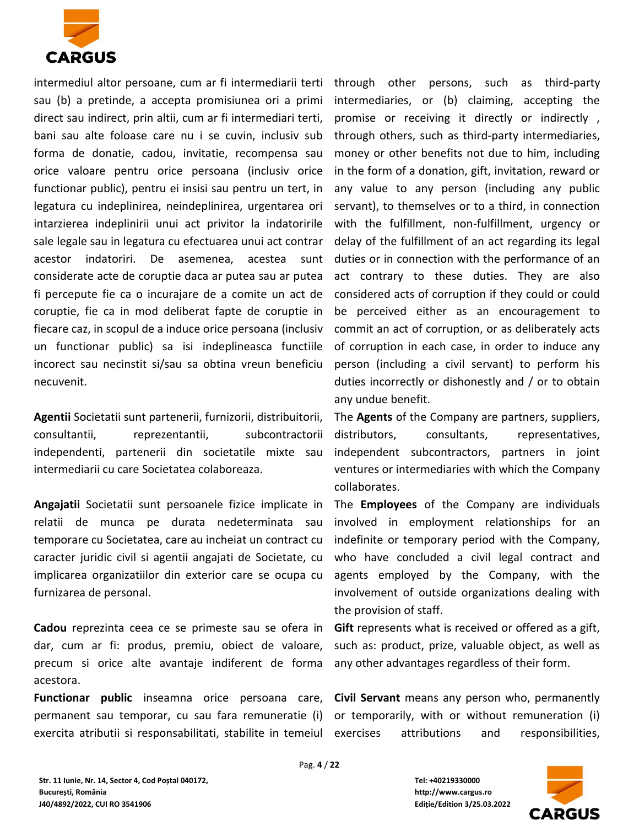

intermediul altor persoane, cum ar fi intermediarii terti through other persons, such as third-party sau (b) a pretinde, a accepta promisiunea ori a primi direct sau indirect, prin altii, cum ar fi intermediari terti, bani sau alte foloase care nu i se cuvin, inclusiv sub forma de donatie, cadou, invitatie, recompensa sau orice valoare pentru orice persoana (inclusiv orice functionar public), pentru ei insisi sau pentru un tert, in legatura cu indeplinirea, neindeplinirea, urgentarea ori intarzierea indeplinirii unui act privitor la indatoririle sale legale sau in legatura cu efectuarea unui act contrar acestor indatoriri. De asemenea, acestea sunt considerate acte de coruptie daca ar putea sau ar putea fi percepute fie ca o incurajare de a comite un act de coruptie, fie ca in mod deliberat fapte de coruptie in fiecare caz, in scopul de a induce orice persoana (inclusiv un functionar public) sa isi indeplineasca functiile incorect sau necinstit si/sau sa obtina vreun beneficiu necuvenit.

**Agentii** Societatii sunt partenerii, furnizorii, distribuitorii, consultantii, reprezentantii, subcontractorii independenti, partenerii din societatile mixte sau intermediarii cu care Societatea colaboreaza.

**Angajatii** Societatii sunt persoanele fizice implicate in relatii de munca pe durata nedeterminata sau temporare cu Societatea, care au incheiat un contract cu caracter juridic civil si agentii angajati de Societate, cu implicarea organizatiilor din exterior care se ocupa cu furnizarea de personal.

**Cadou** reprezinta ceea ce se primeste sau se ofera in dar, cum ar fi: produs, premiu, obiect de valoare, precum si orice alte avantaje indiferent de forma acestora.

**Functionar public** inseamna orice persoana care, permanent sau temporar, cu sau fara remuneratie (i) exercita atributii si responsabilitati, stabilite in temeiul

intermediaries, or (b) claiming, accepting the promise or receiving it directly or indirectly , through others, such as third-party intermediaries, money or other benefits not due to him, including in the form of a donation, gift, invitation, reward or any value to any person (including any public servant), to themselves or to a third, in connection with the fulfillment, non-fulfillment, urgency or delay of the fulfillment of an act regarding its legal duties or in connection with the performance of an act contrary to these duties. They are also considered acts of corruption if they could or could be perceived either as an encouragement to commit an act of corruption, or as deliberately acts of corruption in each case, in order to induce any person (including a civil servant) to perform his duties incorrectly or dishonestly and / or to obtain any undue benefit.

The **Agents** of the Company are partners, suppliers, distributors, consultants, representatives, independent subcontractors, partners in joint ventures or intermediaries with which the Company collaborates.

The **Employees** of the Company are individuals involved in employment relationships for an indefinite or temporary period with the Company, who have concluded a civil legal contract and agents employed by the Company, with the involvement of outside organizations dealing with the provision of staff.

**Gift** represents what is received or offered as a gift, such as: product, prize, valuable object, as well as any other advantages regardless of their form.

**Civil Servant** means any person who, permanently or temporarily, with or without remuneration (i) attributions and responsibilities,

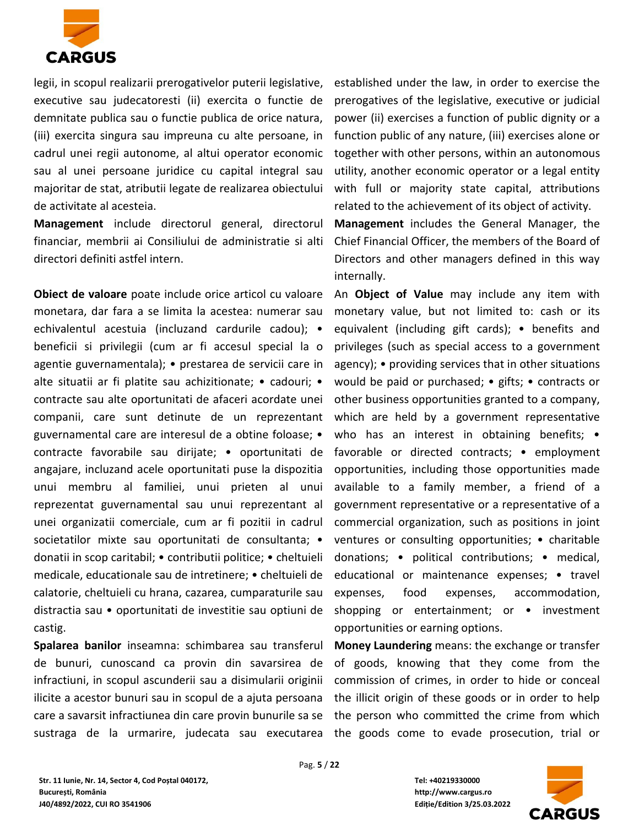

legii, in scopul realizarii prerogativelor puterii legislative, executive sau judecatoresti (ii) exercita o functie de demnitate publica sau o functie publica de orice natura, (iii) exercita singura sau impreuna cu alte persoane, in cadrul unei regii autonome, al altui operator economic sau al unei persoane juridice cu capital integral sau majoritar de stat, atributii legate de realizarea obiectului de activitate al acesteia.

**Management** include directorul general, directorul financiar, membrii ai Consiliului de administratie si alti directori definiti astfel intern.

**Obiect de valoare** poate include orice articol cu valoare monetara, dar fara a se limita la acestea: numerar sau echivalentul acestuia (incluzand cardurile cadou); • beneficii si privilegii (cum ar fi accesul special la o agentie guvernamentala); • prestarea de servicii care in alte situatii ar fi platite sau achizitionate; • cadouri; • contracte sau alte oportunitati de afaceri acordate unei companii, care sunt detinute de un reprezentant guvernamental care are interesul de a obtine foloase; • contracte favorabile sau dirijate; • oportunitati de angajare, incluzand acele oportunitati puse la dispozitia unui membru al familiei, unui prieten al unui reprezentat guvernamental sau unui reprezentant al unei organizatii comerciale, cum ar fi pozitii in cadrul societatilor mixte sau oportunitati de consultanta; · donatii in scop caritabil; • contributii politice; • cheltuieli medicale, educationale sau de intretinere; • cheltuieli de calatorie, cheltuieli cu hrana, cazarea, cumparaturile sau distractia sau • oportunitati de investitie sau optiuni de castig.

**Spalarea banilor** inseamna: schimbarea sau transferul de bunuri, cunoscand ca provin din savarsirea de infractiuni, in scopul ascunderii sau a disimularii originii ilicite a acestor bunuri sau in scopul de a ajuta persoana care a savarsit infractiunea din care provin bunurile sa se sustraga de la urmarire, judecata sau executarea

established under the law, in order to exercise the prerogatives of the legislative, executive or judicial power (ii) exercises a function of public dignity or a function public of any nature, (iii) exercises alone or together with other persons, within an autonomous utility, another economic operator or a legal entity with full or majority state capital, attributions related to the achievement of its object of activity. **Management** includes the General Manager, the Chief Financial Officer, the members of the Board of

Directors and other managers defined in this way

internally. An **Object of Value** may include any item with monetary value, but not limited to: cash or its equivalent (including gift cards); • benefits and privileges (such as special access to a government agency); • providing services that in other situations would be paid or purchased; • gifts; • contracts or other business opportunities granted to a company, which are held by a government representative who has an interest in obtaining benefits; • favorable or directed contracts; • employment opportunities, including those opportunities made available to a family member, a friend of a government representative or a representative of a commercial organization, such as positions in joint ventures or consulting opportunities; • charitable donations; • political contributions; • medical, educational or maintenance expenses; • travel expenses, food expenses, accommodation, shopping or entertainment; or • investment opportunities or earning options.

**Money Laundering** means: the exchange or transfer of goods, knowing that they come from the commission of crimes, in order to hide or conceal the illicit origin of these goods or in order to help the person who committed the crime from which the goods come to evade prosecution, trial or

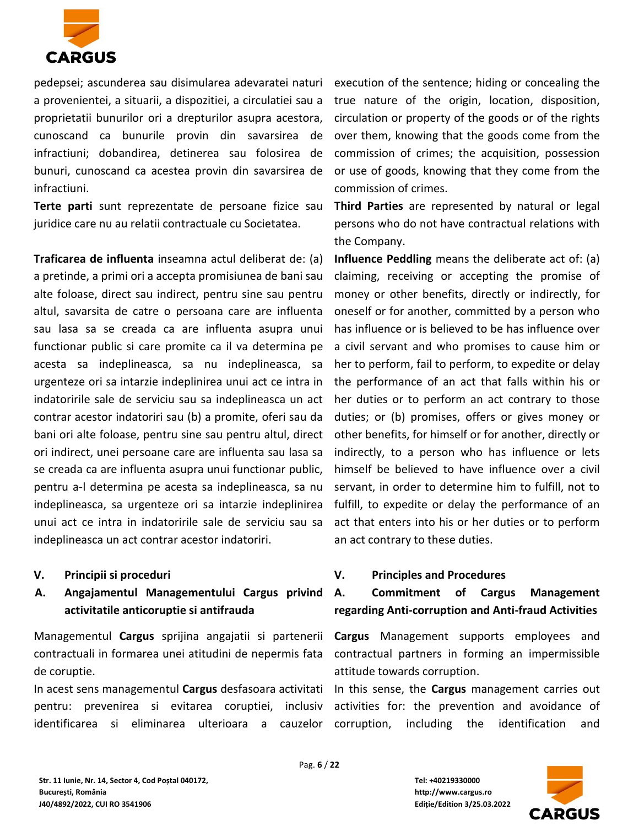

pedepsei; ascunderea sau disimularea adevaratei naturi a provenientei, a situarii, a dispozitiei, a circulatiei sau a proprietatii bunurilor ori a drepturilor asupra acestora, cunoscand ca bunurile provin din savarsirea de infractiuni; dobandirea, detinerea sau folosirea de bunuri, cunoscand ca acestea provin din savarsirea de infractiuni.

**Terte parti** sunt reprezentate de persoane fizice sau juridice care nu au relatii contractuale cu Societatea.

**Traficarea de influenta** inseamna actul deliberat de: (a) a pretinde, a primi ori a accepta promisiunea de bani sau alte foloase, direct sau indirect, pentru sine sau pentru altul, savarsita de catre o persoana care are influenta sau lasa sa se creada ca are influenta asupra unui functionar public si care promite ca il va determina pe acesta sa indeplineasca, sa nu indeplineasca, sa urgenteze ori sa intarzie indeplinirea unui act ce intra in indatoririle sale de serviciu sau sa indeplineasca un act contrar acestor indatoriri sau (b) a promite, oferi sau da bani ori alte foloase, pentru sine sau pentru altul, direct ori indirect, unei persoane care are influenta sau lasa sa se creada ca are influenta asupra unui functionar public, pentru a-l determina pe acesta sa indeplineasca, sa nu indeplineasca, sa urgenteze ori sa intarzie indeplinirea unui act ce intra in indatoririle sale de serviciu sau sa indeplineasca un act contrar acestor indatoriri.

- **V. Principii si proceduri**
- **A. Angajamentul Managementului Cargus privind activitatile anticoruptie si antifrauda**

Managementul **Cargus** sprijina angajatii si partenerii contractuali in formarea unei atitudini de nepermis fata contractual partners in forming an impermissible de coruptie.

In acest sens managementul **Cargus** desfasoara activitati In this sense, the **Cargus** management carries out pentru: prevenirea si evitarea coruptiei, inclusiv identificarea si eliminarea ulterioara a cauzelor

execution of the sentence; hiding or concealing the true nature of the origin, location, disposition, circulation or property of the goods or of the rights over them, knowing that the goods come from the commission of crimes; the acquisition, possession or use of goods, knowing that they come from the commission of crimes.

**Third Parties** are represented by natural or legal persons who do not have contractual relations with the Company.

**Influence Peddling** means the deliberate act of: (a) claiming, receiving or accepting the promise of money or other benefits, directly or indirectly, for oneself or for another, committed by a person who has influence or is believed to be has influence over a civil servant and who promises to cause him or her to perform, fail to perform, to expedite or delay the performance of an act that falls within his or her duties or to perform an act contrary to those duties; or (b) promises, offers or gives money or other benefits, for himself or for another, directly or indirectly, to a person who has influence or lets himself be believed to have influence over a civil servant, in order to determine him to fulfill, not to fulfill, to expedite or delay the performance of an act that enters into his or her duties or to perform an act contrary to these duties.

# **V. Principles and Procedures**

**A. Commitment of Cargus Management regarding Anti-corruption and Anti-fraud Activities**

**Cargus** Management supports employees and attitude towards corruption.

activities for: the prevention and avoidance of including the identification and

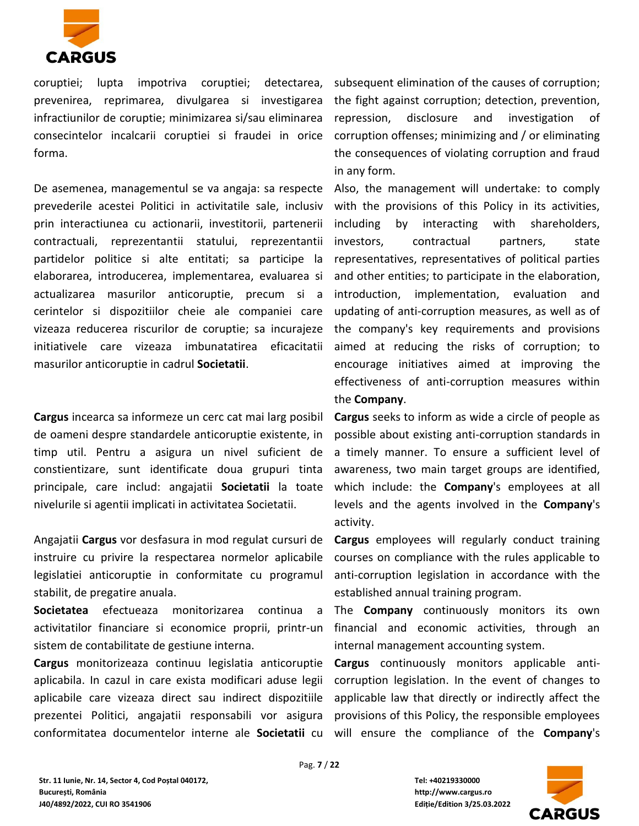

coruptiei; lupta impotriva coruptiei; detectarea, prevenirea, reprimarea, divulgarea si investigarea infractiunilor de coruptie; minimizarea si/sau eliminarea consecintelor incalcarii coruptiei si fraudei in orice forma.

De asemenea, managementul se va angaja: sa respecte prevederile acestei Politici in activitatile sale, inclusiv prin interactiunea cu actionarii, investitorii, partenerii contractuali, reprezentantii statului, reprezentantii partidelor politice si alte entitati; sa participe la elaborarea, introducerea, implementarea, evaluarea si actualizarea masurilor anticoruptie, precum si a cerintelor si dispozitiilor cheie ale companiei care vizeaza reducerea riscurilor de coruptie; sa incurajeze initiativele care vizeaza imbunatatirea eficacitatii masurilor anticoruptie in cadrul **Societatii**.

**Cargus** incearca sa informeze un cerc cat mai larg posibil de oameni despre standardele anticoruptie existente, in timp util. Pentru a asigura un nivel suficient de constientizare, sunt identificate doua grupuri tinta principale, care includ: angajatii **Societatii** la toate nivelurile si agentii implicati in activitatea Societatii.

Angajatii **Cargus** vor desfasura in mod regulat cursuri de instruire cu privire la respectarea normelor aplicabile legislatiei anticoruptie in conformitate cu programul stabilit, de pregatire anuala.

**Societatea** efectueaza monitorizarea continua a activitatilor financiare si economice proprii, printr-un sistem de contabilitate de gestiune interna.

**Cargus** monitorizeaza continuu legislatia anticoruptie aplicabila. In cazul in care exista modificari aduse legii aplicabile care vizeaza direct sau indirect dispozitiile prezentei Politici, angajatii responsabili vor asigura conformitatea documentelor interne ale **Societatii** cu

subsequent elimination of the causes of corruption; the fight against corruption; detection, prevention, repression, disclosure and investigation of corruption offenses; minimizing and / or eliminating the consequences of violating corruption and fraud in any form.

Also, the management will undertake: to comply with the provisions of this Policy in its activities, including by interacting with shareholders, investors, contractual partners, state representatives, representatives of political parties and other entities; to participate in the elaboration, introduction, implementation, evaluation and updating of anti-corruption measures, as well as of the company's key requirements and provisions aimed at reducing the risks of corruption; to encourage initiatives aimed at improving the effectiveness of anti-corruption measures within the **Company**.

**Cargus** seeks to inform as wide a circle of people as possible about existing anti-corruption standards in a timely manner. To ensure a sufficient level of awareness, two main target groups are identified, which include: the **Company**'s employees at all levels and the agents involved in the **Company**'s activity.

**Cargus** employees will regularly conduct training courses on compliance with the rules applicable to anti-corruption legislation in accordance with the established annual training program.

The **Company** continuously monitors its own financial and economic activities, through an internal management accounting system.

**Cargus** continuously monitors applicable anticorruption legislation. In the event of changes to applicable law that directly or indirectly affect the provisions of this Policy, the responsible employees will ensure the compliance of the **Company**'s

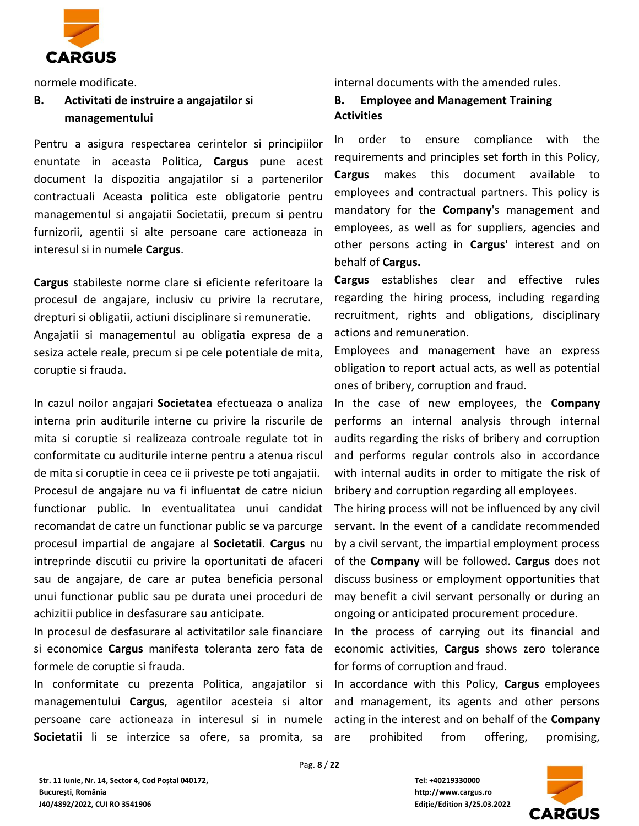

# **B. Activitati de instruire a angajatilor si managementului**

Pentru a asigura respectarea cerintelor si principiilor enuntate in aceasta Politica, **Cargus** pune acest document la dispozitia angajatilor si a partenerilor contractuali Aceasta politica este obligatorie pentru managementul si angajatii Societatii, precum si pentru furnizorii, agentii si alte persoane care actioneaza in interesul si in numele **Cargus**.

**Cargus** stabileste norme clare si eficiente referitoare la procesul de angajare, inclusiv cu privire la recrutare, drepturi si obligatii, actiuni disciplinare si remuneratie. Angajatii si managementul au obligatia expresa de a sesiza actele reale, precum si pe cele potentiale de mita, coruptie si frauda.

In cazul noilor angajari **Societatea** efectueaza o analiza interna prin auditurile interne cu privire la riscurile de mita si coruptie si realizeaza controale regulate tot in conformitate cu auditurile interne pentru a atenua riscul de mita si coruptie in ceea ce ii priveste pe toti angajatii. Procesul de angajare nu va fi influentat de catre niciun functionar public. In eventualitatea unui candidat recomandat de catre un functionar public se va parcurge procesul impartial de angajare al **Societatii**. **Cargus** nu intreprinde discutii cu privire la oportunitati de afaceri sau de angajare, de care ar putea beneficia personal unui functionar public sau pe durata unei proceduri de achizitii publice in desfasurare sau anticipate.

In procesul de desfasurare al activitatilor sale financiare si economice **Cargus** manifesta toleranta zero fata de formele de coruptie si frauda.

In conformitate cu prezenta Politica, angajatilor si managementului **Cargus**, agentilor acesteia si altor persoane care actioneaza in interesul si in numele **Societatii** li se interzice sa ofere, sa promita, sa

normele modificate. internal documents with the amended rules.

**B. Employee and Management Training Activities**

In order to ensure compliance with the requirements and principles set forth in this Policy, **Cargus** makes this document available to employees and contractual partners. This policy is mandatory for the **Company**'s management and employees, as well as for suppliers, agencies and other persons acting in **Cargus**' interest and on behalf of **Cargus.**

**Cargus** establishes clear and effective rules regarding the hiring process, including regarding recruitment, rights and obligations, disciplinary actions and remuneration.

Employees and management have an express obligation to report actual acts, as well as potential ones of bribery, corruption and fraud.

In the case of new employees, the **Company** performs an internal analysis through internal audits regarding the risks of bribery and corruption and performs regular controls also in accordance with internal audits in order to mitigate the risk of bribery and corruption regarding all employees.

The hiring process will not be influenced by any civil servant. In the event of a candidate recommended by a civil servant, the impartial employment process of the **Company** will be followed. **Cargus** does not discuss business or employment opportunities that may benefit a civil servant personally or during an ongoing or anticipated procurement procedure.

In the process of carrying out its financial and economic activities, **Cargus** shows zero tolerance for forms of corruption and fraud.

In accordance with this Policy, **Cargus** employees and management, its agents and other persons acting in the interest and on behalf of the **Company**  are prohibited from offering, promising,



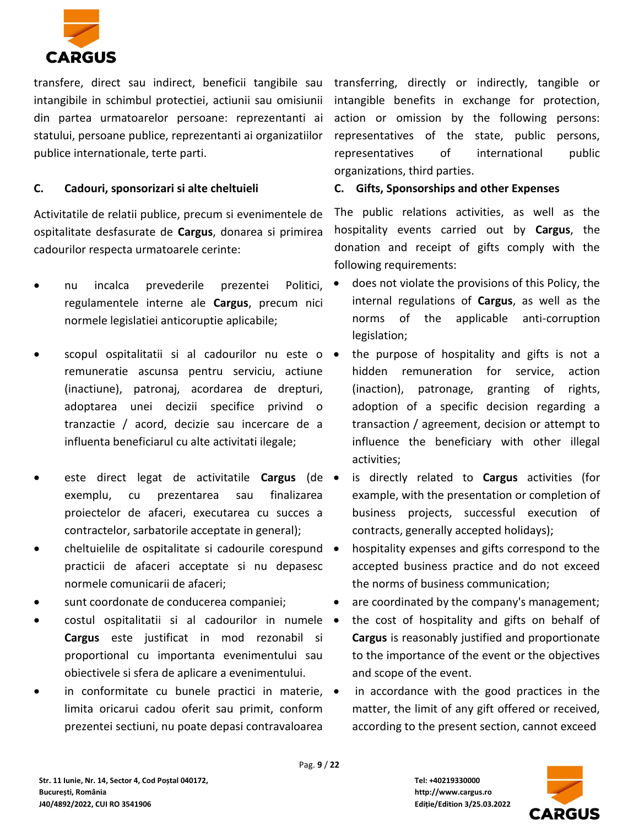

transfere, direct sau indirect, beneficii tangibile sau intangibile in schimbul protectiei, actiunii sau omisiunii din partea urmatoarelor persoane: reprezentanti ai statului, persoane publice, reprezentanti ai organizatiilor publice internationale, terte parti.

# **C. Cadouri, sponsorizari si alte cheltuieli**

Activitatile de relatii publice, precum si evenimentele de ospitalitate desfasurate de **Cargus**, donarea si primirea cadourilor respecta urmatoarele cerinte:

- nu incalca prevederile prezentei Politici, regulamentele interne ale **Cargus**, precum nici normele legislatiei anticoruptie aplicabile;
- scopul ospitalitatii si al cadourilor nu este o remuneratie ascunsa pentru serviciu, actiune (inactiune), patronaj, acordarea de drepturi, adoptarea unei decizii specifice privind o tranzactie / acord, decizie sau incercare de a influenta beneficiarul cu alte activitati ilegale;
- este direct legat de activitatile **Cargus** (de exemplu, cu prezentarea sau finalizarea proiectelor de afaceri, executarea cu succes a contractelor, sarbatorile acceptate in general);
- cheltuielile de ospitalitate si cadourile corespund practicii de afaceri acceptate si nu depasesc normele comunicarii de afaceri;
- sunt coordonate de conducerea companiei;
- costul ospitalitatii si al cadourilor in numele **Cargus** este justificat in mod rezonabil si proportional cu importanta evenimentului sau obiectivele si sfera de aplicare a evenimentului.
- in conformitate cu bunele practici in materie, limita oricarui cadou oferit sau primit, conform prezentei sectiuni, nu poate depasi contravaloarea

transferring, directly or indirectly, tangible or intangible benefits in exchange for protection, action or omission by the following persons: representatives of the state, public persons, representatives of international public organizations, third parties.

## **C. Gifts, Sponsorships and other Expenses**

The public relations activities, as well as the hospitality events carried out by **Cargus**, the donation and receipt of gifts comply with the following requirements:

- does not violate the provisions of this Policy, the internal regulations of **Cargus**, as well as the norms of the applicable anti-corruption legislation;
- the purpose of hospitality and gifts is not a hidden remuneration for service, action (inaction), patronage, granting of rights, adoption of a specific decision regarding a transaction / agreement, decision or attempt to influence the beneficiary with other illegal activities;
- is directly related to **Cargus** activities (for example, with the presentation or completion of business projects, successful execution of contracts, generally accepted holidays);
- hospitality expenses and gifts correspond to the accepted business practice and do not exceed the norms of business communication;
- are coordinated by the company's management;
- the cost of hospitality and gifts on behalf of **Cargus** is reasonably justified and proportionate to the importance of the event or the objectives and scope of the event.
- in accordance with the good practices in the matter, the limit of any gift offered or received, according to the present section, cannot exceed

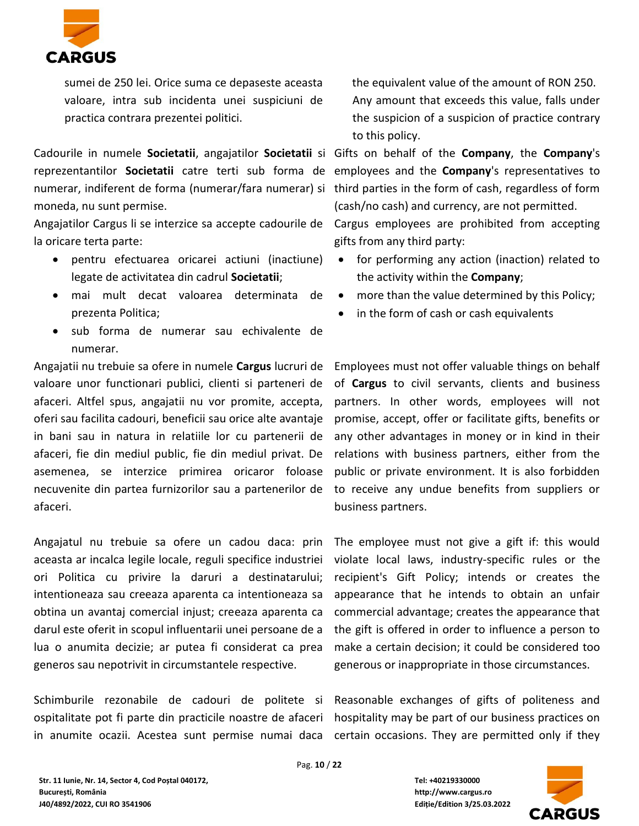

sumei de 250 lei. Orice suma ce depaseste aceasta valoare, intra sub incidenta unei suspiciuni de practica contrara prezentei politici.

Cadourile in numele **Societatii**, angajatilor **Societatii** si Gifts on behalf of the **Company**, the **Company**'s reprezentantilor **Societatii** catre terti sub forma de employees and the **Company**'s representatives to numerar, indiferent de forma (numerar/fara numerar) si third parties in the form of cash, regardless of form moneda, nu sunt permise.

Angajatilor Cargus li se interzice sa accepte cadourile de Cargus employees are prohibited from accepting la oricare terta parte:

- pentru efectuarea oricarei actiuni (inactiune) legate de activitatea din cadrul **Societatii**;
- mai mult decat valoarea determinata de prezenta Politica;
- sub forma de numerar sau echivalente de numerar.

Angajatii nu trebuie sa ofere in numele **Cargus** lucruri de valoare unor functionari publici, clienti si parteneri de afaceri. Altfel spus, angajatii nu vor promite, accepta, oferi sau facilita cadouri, beneficii sau orice alte avantaje in bani sau in natura in relatiile lor cu partenerii de afaceri, fie din mediul public, fie din mediul privat. De asemenea, se interzice primirea oricaror foloase necuvenite din partea furnizorilor sau a partenerilor de afaceri.

Angajatul nu trebuie sa ofere un cadou daca: prin aceasta ar incalca legile locale, reguli specifice industriei ori Politica cu privire la daruri a destinatarului; intentioneaza sau creeaza aparenta ca intentioneaza sa obtina un avantaj comercial injust; creeaza aparenta ca darul este oferit in scopul influentarii unei persoane de a lua o anumita decizie; ar putea fi considerat ca prea generos sau nepotrivit in circumstantele respective.

Schimburile rezonabile de cadouri de politete si Reasonable exchanges of gifts of politeness and ospitalitate pot fi parte din practicile noastre de afaceri in anumite ocazii. Acestea sunt permise numai daca certain occasions. They are permitted only if they

the equivalent value of the amount of RON 250. Any amount that exceeds this value, falls under the suspicion of a suspicion of practice contrary to this policy.

(cash/no cash) and currency, are not permitted.

- for performing any action (inaction) related to the activity within the **Company**;
- more than the value determined by this Policy;
- in the form of cash or cash equivalents

gifts from any third party:

Employees must not offer valuable things on behalf of **Cargus** to civil servants, clients and business partners. In other words, employees will not promise, accept, offer or facilitate gifts, benefits or any other advantages in money or in kind in their relations with business partners, either from the public or private environment. It is also forbidden to receive any undue benefits from suppliers or business partners.

The employee must not give a gift if: this would violate local laws, industry-specific rules or the recipient's Gift Policy; intends or creates the appearance that he intends to obtain an unfair commercial advantage; creates the appearance that the gift is offered in order to influence a person to make a certain decision; it could be considered too generous or inappropriate in those circumstances.

hospitality may be part of our business practices on

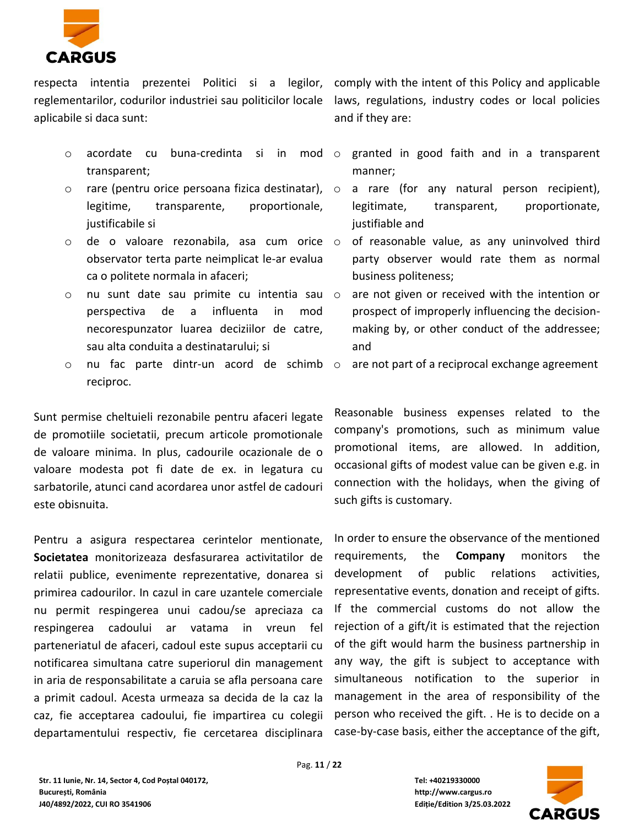

respecta intentia prezentei Politici si a legilor, comply with the intent of this Policy and applicable reglementarilor, codurilor industriei sau politicilor locale laws, regulations, industry codes or local policies aplicabile si daca sunt:

- o acordate cu buna-credinta si in mod transparent;
- o rare (pentru orice persoana fizica destinatar), legitime, transparente, proportionale, justificabile si
- o de o valoare rezonabila, asa cum orice observator terta parte neimplicat le-ar evalua ca o politete normala in afaceri;
- o nu sunt date sau primite cu intentia sau perspectiva de a influenta in mod necorespunzator luarea deciziilor de catre, sau alta conduita a destinatarului; si
- o nu fac parte dintr-un acord de schimb reciproc.

Sunt permise cheltuieli rezonabile pentru afaceri legate de promotiile societatii, precum articole promotionale de valoare minima. In plus, cadourile ocazionale de o valoare modesta pot fi date de ex. in legatura cu sarbatorile, atunci cand acordarea unor astfel de cadouri este obisnuita.

Pentru a asigura respectarea cerintelor mentionate, **Societatea** monitorizeaza desfasurarea activitatilor de relatii publice, evenimente reprezentative, donarea si primirea cadourilor. In cazul in care uzantele comerciale nu permit respingerea unui cadou/se apreciaza ca respingerea cadoului ar vatama in vreun fel parteneriatul de afaceri, cadoul este supus acceptarii cu notificarea simultana catre superiorul din management in aria de responsabilitate a caruia se afla persoana care a primit cadoul. Acesta urmeaza sa decida de la caz la caz, fie acceptarea cadoului, fie impartirea cu colegii departamentului respectiv, fie cercetarea disciplinara and if they are:

- granted in good faith and in a transparent manner;
- a rare (for any natural person recipient), legitimate, transparent, proportionate, justifiable and
- of reasonable value, as any uninvolved third party observer would rate them as normal business politeness;
- are not given or received with the intention or prospect of improperly influencing the decisionmaking by, or other conduct of the addressee; and
- are not part of a reciprocal exchange agreement

Reasonable business expenses related to the company's promotions, such as minimum value promotional items, are allowed. In addition, occasional gifts of modest value can be given e.g. in connection with the holidays, when the giving of such gifts is customary.

In order to ensure the observance of the mentioned requirements, the **Company** monitors the development of public relations activities, representative events, donation and receipt of gifts. If the commercial customs do not allow the rejection of a gift/it is estimated that the rejection of the gift would harm the business partnership in any way, the gift is subject to acceptance with simultaneous notification to the superior in management in the area of responsibility of the person who received the gift. . He is to decide on a case-by-case basis, either the acceptance of the gift,

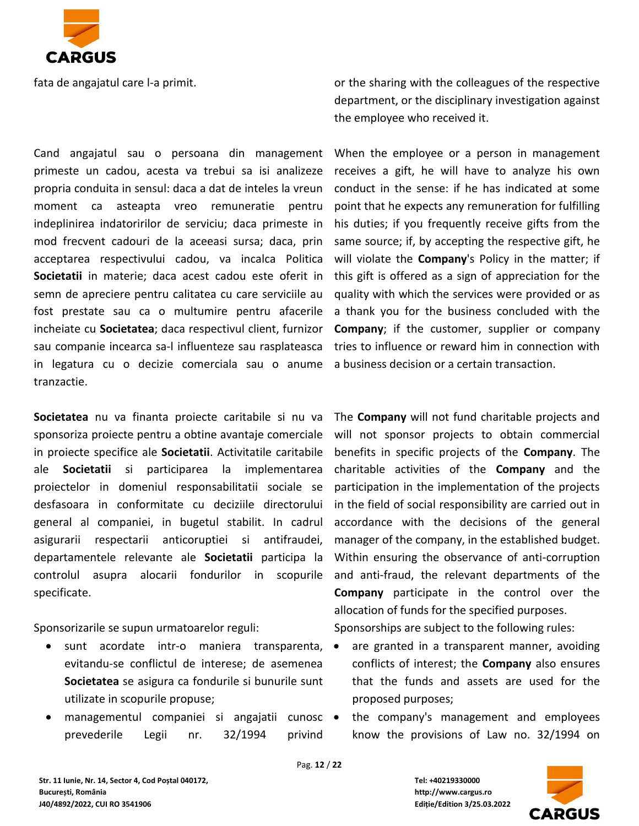

fata de angajatul care l-a primit.

Cand angajatul sau o persoana din management primeste un cadou, acesta va trebui sa isi analizeze propria conduita in sensul: daca a dat de inteles la vreun moment ca asteapta vreo remuneratie pentru indeplinirea indatoririlor de serviciu; daca primeste in mod frecvent cadouri de la aceeasi sursa; daca, prin acceptarea respectivului cadou, va incalca Politica **Societatii** in materie; daca acest cadou este oferit in semn de apreciere pentru calitatea cu care serviciile au fost prestate sau ca o multumire pentru afacerile incheiate cu **Societatea**; daca respectivul client, furnizor sau companie incearca sa-l influenteze sau rasplateasca in legatura cu o decizie comerciala sau o anume tranzactie.

**Societatea** nu va finanta proiecte caritabile si nu va sponsoriza proiecte pentru a obtine avantaje comerciale in proiecte specifice ale **Societatii**. Activitatile caritabile ale **Societatii** si participarea la implementarea proiectelor in domeniul responsabilitatii sociale se desfasoara in conformitate cu deciziile directorului general al companiei, in bugetul stabilit. In cadrul asigurarii respectarii anticoruptiei si antifraudei, departamentele relevante ale **Societatii** participa la controlul asupra alocarii fondurilor in scopurile specificate.

Sponsorizarile se supun urmatoarelor reguli:

- sunt acordate intr-o maniera transparenta, evitandu-se conflictul de interese; de asemenea **Societatea** se asigura ca fondurile si bunurile sunt utilizate in scopurile propuse;
- managementul companiei si angajatii cunosc prevederile Legii nr. 32/1994 privind

or the sharing with the colleagues of the respective department, or the disciplinary investigation against the employee who received it.

When the employee or a person in management receives a gift, he will have to analyze his own conduct in the sense: if he has indicated at some point that he expects any remuneration for fulfilling his duties; if you frequently receive gifts from the same source; if, by accepting the respective gift, he will violate the **Company**'s Policy in the matter; if this gift is offered as a sign of appreciation for the quality with which the services were provided or as a thank you for the business concluded with the **Company**; if the customer, supplier or company tries to influence or reward him in connection with a business decision or a certain transaction.

The **Company** will not fund charitable projects and will not sponsor projects to obtain commercial benefits in specific projects of the **Company**. The charitable activities of the **Company** and the participation in the implementation of the projects in the field of social responsibility are carried out in accordance with the decisions of the general manager of the company, in the established budget. Within ensuring the observance of anti-corruption and anti-fraud, the relevant departments of the **Company** participate in the control over the allocation of funds for the specified purposes.

Sponsorships are subject to the following rules:

- are granted in a transparent manner, avoiding conflicts of interest; the **Company** also ensures that the funds and assets are used for the proposed purposes;
- the company's management and employees know the provisions of Law no. 32/1994 on

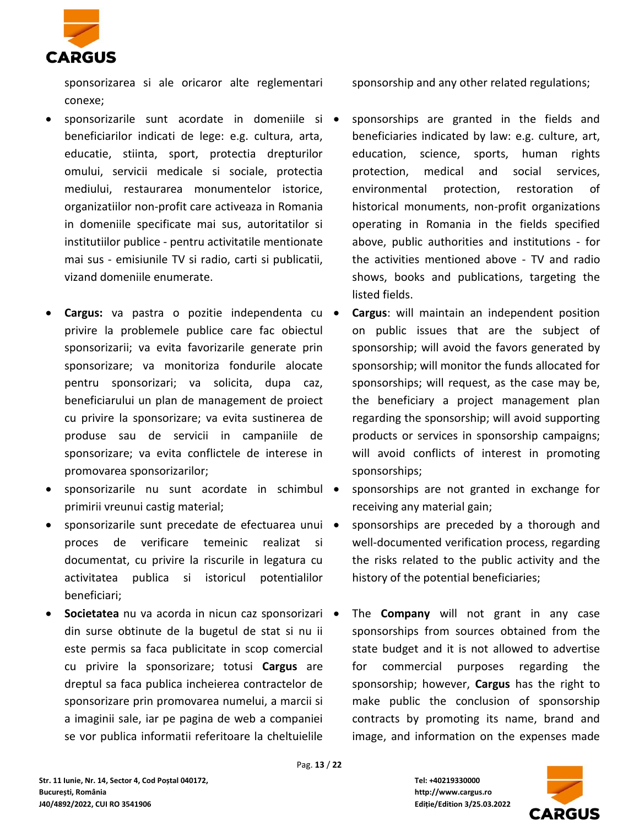

sponsorizarea si ale oricaror alte reglementari conexe;

- sponsorizarile sunt acordate in domeniile si beneficiarilor indicati de lege: e.g. cultura, arta, educatie, stiinta, sport, protectia drepturilor omului, servicii medicale si sociale, protectia mediului, restaurarea monumentelor istorice, organizatiilor non-profit care activeaza in Romania in domeniile specificate mai sus, autoritatilor si institutiilor publice - pentru activitatile mentionate mai sus - emisiunile TV si radio, carti si publicatii, vizand domeniile enumerate.
- **Cargus:** va pastra o pozitie independenta cu privire la problemele publice care fac obiectul sponsorizarii; va evita favorizarile generate prin sponsorizare; va monitoriza fondurile alocate pentru sponsorizari; va solicita, dupa caz, beneficiarului un plan de management de proiect cu privire la sponsorizare; va evita sustinerea de produse sau de servicii in campaniile de sponsorizare; va evita conflictele de interese in promovarea sponsorizarilor;
- sponsorizarile nu sunt acordate in schimbul primirii vreunui castig material;
- sponsorizarile sunt precedate de efectuarea unui proces de verificare temeinic realizat si documentat, cu privire la riscurile in legatura cu activitatea publica si istoricul potentialilor beneficiari;
- **Societatea** nu va acorda in nicun caz sponsorizari din surse obtinute de la bugetul de stat si nu ii este permis sa faca publicitate in scop comercial cu privire la sponsorizare; totusi **Cargus** are dreptul sa faca publica incheierea contractelor de sponsorizare prin promovarea numelui, a marcii si a imaginii sale, iar pe pagina de web a companiei se vor publica informatii referitoare la cheltuielile

sponsorship and any other related regulations;

- sponsorships are granted in the fields and beneficiaries indicated by law: e.g. culture, art, education, science, sports, human rights protection, medical and social services, environmental protection, restoration of historical monuments, non-profit organizations operating in Romania in the fields specified above, public authorities and institutions - for the activities mentioned above - TV and radio shows, books and publications, targeting the listed fields.
- **Cargus**: will maintain an independent position on public issues that are the subject of sponsorship; will avoid the favors generated by sponsorship; will monitor the funds allocated for sponsorships; will request, as the case may be, the beneficiary a project management plan regarding the sponsorship; will avoid supporting products or services in sponsorship campaigns; will avoid conflicts of interest in promoting sponsorships;
- sponsorships are not granted in exchange for receiving any material gain;
- sponsorships are preceded by a thorough and well-documented verification process, regarding the risks related to the public activity and the history of the potential beneficiaries;
- The **Company** will not grant in any case sponsorships from sources obtained from the state budget and it is not allowed to advertise for commercial purposes regarding the sponsorship; however, **Cargus** has the right to make public the conclusion of sponsorship contracts by promoting its name, brand and image, and information on the expenses made

Pag. **13** / **22**

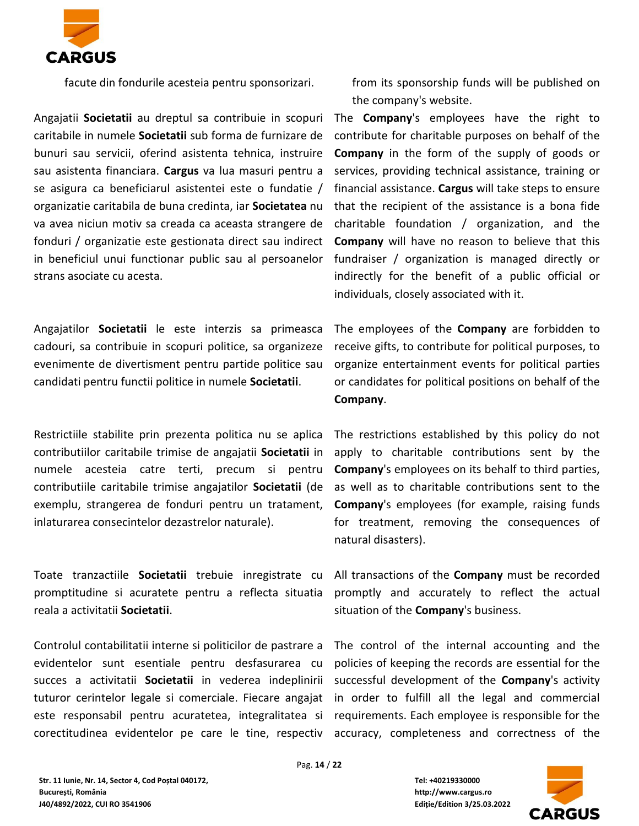

facute din fondurile acesteia pentru sponsorizari.

Angajatii **Societatii** au dreptul sa contribuie in scopuri caritabile in numele **Societatii** sub forma de furnizare de bunuri sau servicii, oferind asistenta tehnica, instruire sau asistenta financiara. **Cargus** va lua masuri pentru a se asigura ca beneficiarul asistentei este o fundatie / organizatie caritabila de buna credinta, iar **Societatea** nu va avea niciun motiv sa creada ca aceasta strangere de fonduri / organizatie este gestionata direct sau indirect in beneficiul unui functionar public sau al persoanelor strans asociate cu acesta.

Angajatilor **Societatii** le este interzis sa primeasca cadouri, sa contribuie in scopuri politice, sa organizeze evenimente de divertisment pentru partide politice sau candidati pentru functii politice in numele **Societatii**.

Restrictiile stabilite prin prezenta politica nu se aplica contributiilor caritabile trimise de angajatii **Societatii** in numele acesteia catre terti, precum si pentru contributiile caritabile trimise angajatilor **Societatii** (de exemplu, strangerea de fonduri pentru un tratament, inlaturarea consecintelor dezastrelor naturale).

Toate tranzactiile **Societatii** trebuie inregistrate cu promptitudine si acuratete pentru a reflecta situatia reala a activitatii **Societatii**.

Controlul contabilitatii interne si politicilor de pastrare a evidentelor sunt esentiale pentru desfasurarea cu succes a activitatii **Societatii** in vederea indeplinirii tuturor cerintelor legale si comerciale. Fiecare angajat este responsabil pentru acuratetea, integralitatea si corectitudinea evidentelor pe care le tine, respectiv from its sponsorship funds will be published on the company's website.

The **Company**'s employees have the right to contribute for charitable purposes on behalf of the **Company** in the form of the supply of goods or services, providing technical assistance, training or financial assistance. **Cargus** will take steps to ensure that the recipient of the assistance is a bona fide charitable foundation / organization, and the **Company** will have no reason to believe that this fundraiser / organization is managed directly or indirectly for the benefit of a public official or individuals, closely associated with it.

The employees of the **Company** are forbidden to receive gifts, to contribute for political purposes, to organize entertainment events for political parties or candidates for political positions on behalf of the **Company**.

The restrictions established by this policy do not apply to charitable contributions sent by the **Company**'s employees on its behalf to third parties, as well as to charitable contributions sent to the **Company**'s employees (for example, raising funds for treatment, removing the consequences of natural disasters).

All transactions of the **Company** must be recorded promptly and accurately to reflect the actual situation of the **Company**'s business.

The control of the internal accounting and the policies of keeping the records are essential for the successful development of the **Company**'s activity in order to fulfill all the legal and commercial requirements. Each employee is responsible for the accuracy, completeness and correctness of the

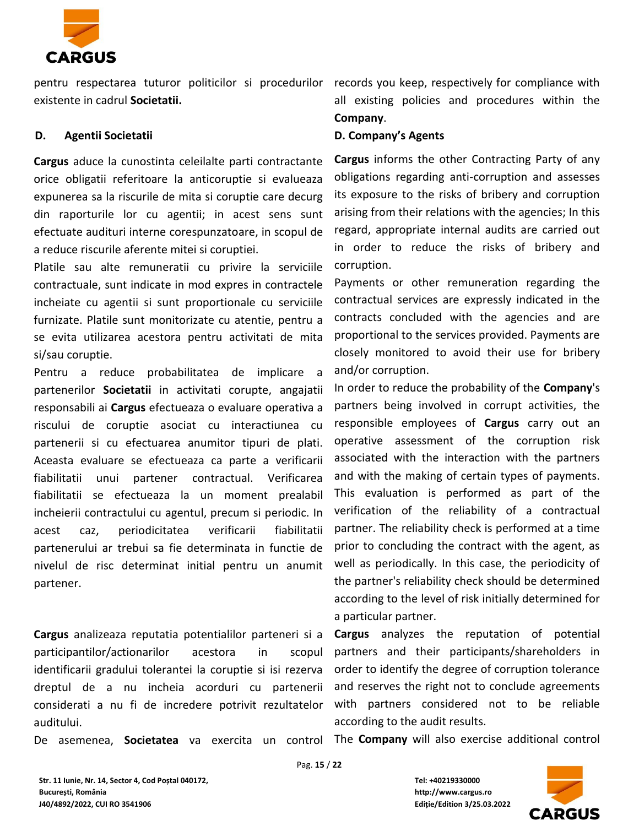

pentru respectarea tuturor politicilor si procedurilor records you keep, respectively for compliance with existente in cadrul **Societatii.**

#### **D. Agentii Societatii**

**Cargus** aduce la cunostinta celeilalte parti contractante orice obligatii referitoare la anticoruptie si evalueaza expunerea sa la riscurile de mita si coruptie care decurg din raporturile lor cu agentii; in acest sens sunt efectuate audituri interne corespunzatoare, in scopul de a reduce riscurile aferente mitei si coruptiei.

Platile sau alte remuneratii cu privire la serviciile contractuale, sunt indicate in mod expres in contractele incheiate cu agentii si sunt proportionale cu serviciile furnizate. Platile sunt monitorizate cu atentie, pentru a se evita utilizarea acestora pentru activitati de mita si/sau coruptie.

Pentru a reduce probabilitatea de implicare a partenerilor **Societatii** in activitati corupte, angajatii responsabili ai **Cargus** efectueaza o evaluare operativa a riscului de coruptie asociat cu interactiunea cu partenerii si cu efectuarea anumitor tipuri de plati. Aceasta evaluare se efectueaza ca parte a verificarii fiabilitatii unui partener contractual. Verificarea fiabilitatii se efectueaza la un moment prealabil incheierii contractului cu agentul, precum si periodic. In acest caz, periodicitatea verificarii fiabilitatii partenerului ar trebui sa fie determinata in functie de nivelul de risc determinat initial pentru un anumit partener.

**Cargus** analizeaza reputatia potentialilor parteneri si a participantilor/actionarilor acestora in scopul identificarii gradului tolerantei la coruptie si isi rezerva dreptul de a nu incheia acorduri cu partenerii considerati a nu fi de incredere potrivit rezultatelor auditului.

De asemenea, **Societatea** va exercita un control

all existing policies and procedures within the **Company**.

#### **D. Company's Agents**

**Cargus** informs the other Contracting Party of any obligations regarding anti-corruption and assesses its exposure to the risks of bribery and corruption arising from their relations with the agencies; In this regard, appropriate internal audits are carried out in order to reduce the risks of bribery and corruption.

Payments or other remuneration regarding the contractual services are expressly indicated in the contracts concluded with the agencies and are proportional to the services provided. Payments are closely monitored to avoid their use for bribery and/or corruption.

In order to reduce the probability of the **Company**'s partners being involved in corrupt activities, the responsible employees of **Cargus** carry out an operative assessment of the corruption risk associated with the interaction with the partners and with the making of certain types of payments. This evaluation is performed as part of the verification of the reliability of a contractual partner. The reliability check is performed at a time prior to concluding the contract with the agent, as well as periodically. In this case, the periodicity of the partner's reliability check should be determined according to the level of risk initially determined for a particular partner.

**Cargus** analyzes the reputation of potential partners and their participants/shareholders in order to identify the degree of corruption tolerance and reserves the right not to conclude agreements with partners considered not to be reliable according to the audit results.

The **Company** will also exercise additional control



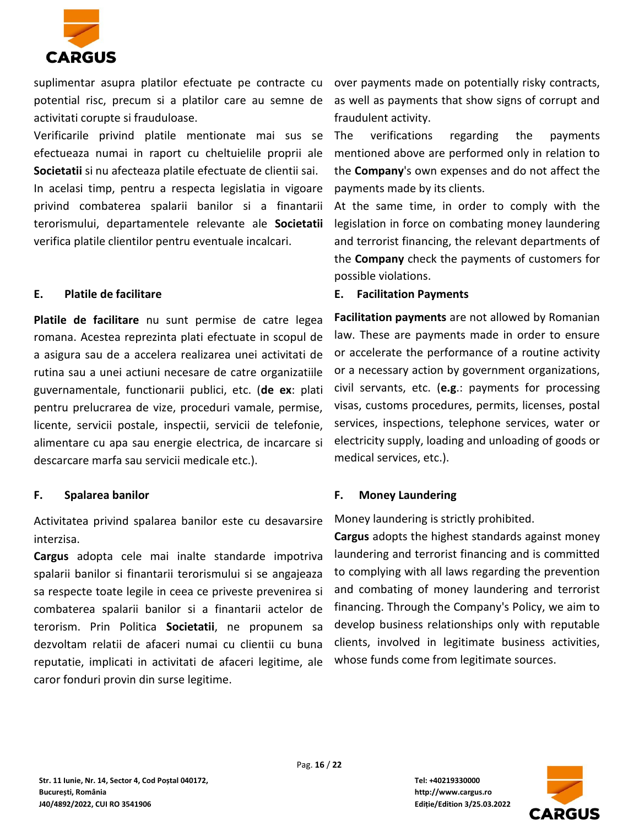

suplimentar asupra platilor efectuate pe contracte cu over payments made on potentially risky contracts, potential risc, precum si a platilor care au semne de activitati corupte si frauduloase.

Verificarile privind platile mentionate mai sus se efectueaza numai in raport cu cheltuielile proprii ale **Societatii** si nu afecteaza platile efectuate de clientii sai. In acelasi timp, pentru a respecta legislatia in vigoare privind combaterea spalarii banilor si a finantarii terorismului, departamentele relevante ale **Societatii** verifica platile clientilor pentru eventuale incalcari.

#### **E. Platile de facilitare**

**Platile de facilitare** nu sunt permise de catre legea romana. Acestea reprezinta plati efectuate in scopul de a asigura sau de a accelera realizarea unei activitati de rutina sau a unei actiuni necesare de catre organizatiile guvernamentale, functionarii publici, etc. (**de ex**: plati pentru prelucrarea de vize, proceduri vamale, permise, licente, servicii postale, inspectii, servicii de telefonie, alimentare cu apa sau energie electrica, de incarcare si descarcare marfa sau servicii medicale etc.).

# **F. Spalarea banilor**

Activitatea privind spalarea banilor este cu desavarsire interzisa.

**Cargus** adopta cele mai inalte standarde impotriva spalarii banilor si finantarii terorismului si se angajeaza sa respecte toate legile in ceea ce priveste prevenirea si combaterea spalarii banilor si a finantarii actelor de terorism. Prin Politica **Societatii**, ne propunem sa dezvoltam relatii de afaceri numai cu clientii cu buna reputatie, implicati in activitati de afaceri legitime, ale caror fonduri provin din surse legitime.

as well as payments that show signs of corrupt and fraudulent activity.

The verifications regarding the payments mentioned above are performed only in relation to the **Company**'s own expenses and do not affect the payments made by its clients.

At the same time, in order to comply with the legislation in force on combating money laundering and terrorist financing, the relevant departments of the **Company** check the payments of customers for possible violations.

## **E. Facilitation Payments**

**Facilitation payments** are not allowed by Romanian law. These are payments made in order to ensure or accelerate the performance of a routine activity or a necessary action by government organizations, civil servants, etc. (**e.g**.: payments for processing visas, customs procedures, permits, licenses, postal services, inspections, telephone services, water or electricity supply, loading and unloading of goods or medical services, etc.).

# **F. Money Laundering**

Money laundering is strictly prohibited.

**Cargus** adopts the highest standards against money laundering and terrorist financing and is committed to complying with all laws regarding the prevention and combating of money laundering and terrorist financing. Through the Company's Policy, we aim to develop business relationships only with reputable clients, involved in legitimate business activities, whose funds come from legitimate sources.

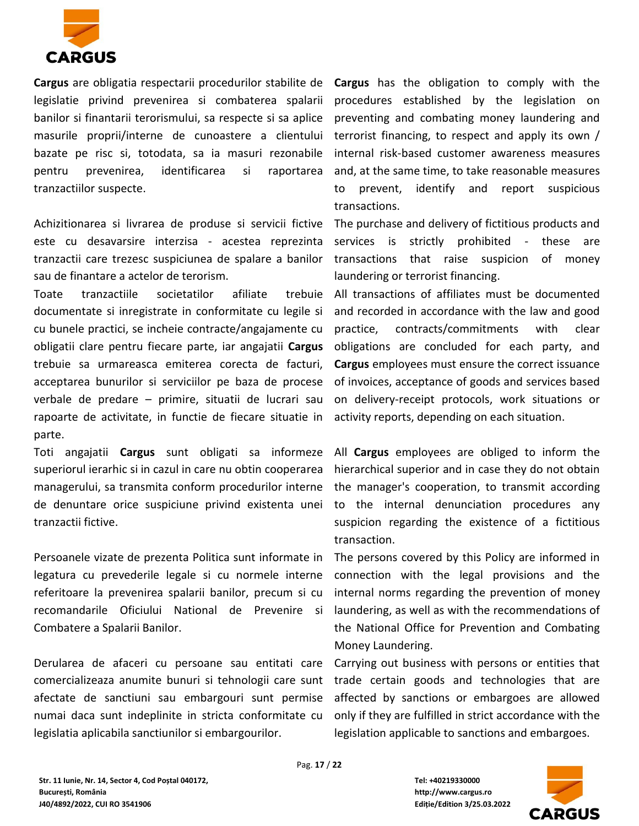

**Cargus** are obligatia respectarii procedurilor stabilite de **Cargus** has the obligation to comply with the legislatie privind prevenirea si combaterea spalarii banilor si finantarii terorismului, sa respecte si sa aplice masurile proprii/interne de cunoastere a clientului bazate pe risc si, totodata, sa ia masuri rezonabile pentru prevenirea, identificarea si raportarea tranzactiilor suspecte.

Achizitionarea si livrarea de produse si servicii fictive este cu desavarsire interzisa - acestea reprezinta tranzactii care trezesc suspiciunea de spalare a banilor sau de finantare a actelor de terorism.

Toate tranzactiile societatilor afiliate trebuie documentate si inregistrate in conformitate cu legile si cu bunele practici, se incheie contracte/angajamente cu obligatii clare pentru fiecare parte, iar angajatii **Cargus** trebuie sa urmareasca emiterea corecta de facturi, acceptarea bunurilor si serviciilor pe baza de procese verbale de predare – primire, situatii de lucrari sau rapoarte de activitate, in functie de fiecare situatie in parte.

Toti angajatii **Cargus** sunt obligati sa informeze superiorul ierarhic si in cazul in care nu obtin cooperarea managerului, sa transmita conform procedurilor interne de denuntare orice suspiciune privind existenta unei tranzactii fictive.

Persoanele vizate de prezenta Politica sunt informate in legatura cu prevederile legale si cu normele interne referitoare la prevenirea spalarii banilor, precum si cu recomandarile Oficiului National de Prevenire si Combatere a Spalarii Banilor.

Derularea de afaceri cu persoane sau entitati care comercializeaza anumite bunuri si tehnologii care sunt afectate de sanctiuni sau embargouri sunt permise numai daca sunt indeplinite in stricta conformitate cu legislatia aplicabila sanctiunilor si embargourilor.

procedures established by the legislation on preventing and combating money laundering and terrorist financing, to respect and apply its own / internal risk-based customer awareness measures and, at the same time, to take reasonable measures to prevent, identify and report suspicious transactions.

The purchase and delivery of fictitious products and services is strictly prohibited - these are transactions that raise suspicion of money laundering or terrorist financing.

All transactions of affiliates must be documented and recorded in accordance with the law and good practice, contracts/commitments with clear obligations are concluded for each party, and **Cargus** employees must ensure the correct issuance of invoices, acceptance of goods and services based on delivery-receipt protocols, work situations or activity reports, depending on each situation.

All **Cargus** employees are obliged to inform the hierarchical superior and in case they do not obtain the manager's cooperation, to transmit according to the internal denunciation procedures any suspicion regarding the existence of a fictitious transaction.

The persons covered by this Policy are informed in connection with the legal provisions and the internal norms regarding the prevention of money laundering, as well as with the recommendations of the National Office for Prevention and Combating Money Laundering.

Carrying out business with persons or entities that trade certain goods and technologies that are affected by sanctions or embargoes are allowed only if they are fulfilled in strict accordance with the legislation applicable to sanctions and embargoes.

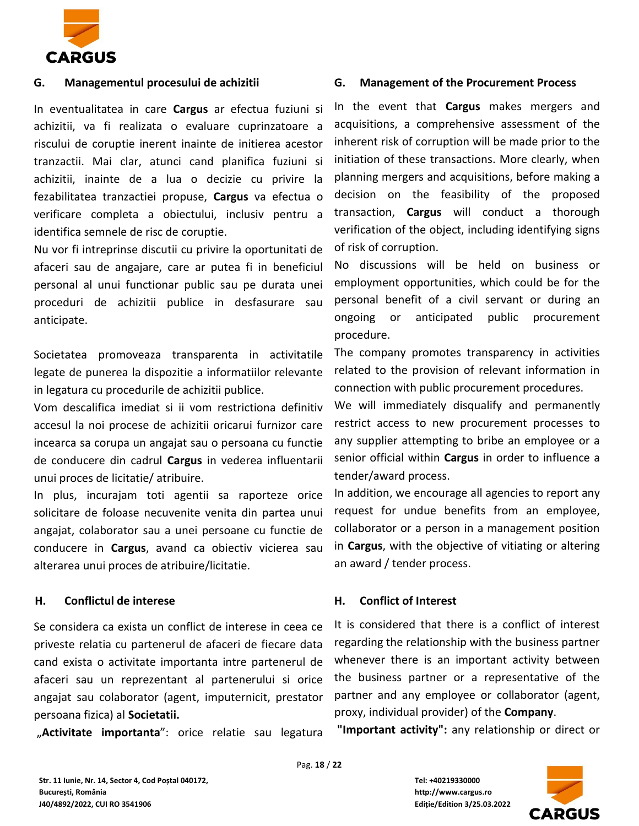

#### **G. Managementul procesului de achizitii**

In eventualitatea in care **Cargus** ar efectua fuziuni si achizitii, va fi realizata o evaluare cuprinzatoare a riscului de coruptie inerent inainte de initierea acestor tranzactii. Mai clar, atunci cand planifica fuziuni si achizitii, inainte de a lua o decizie cu privire la fezabilitatea tranzactiei propuse, **Cargus** va efectua o verificare completa a obiectului, inclusiv pentru a identifica semnele de risc de coruptie.

Nu vor fi intreprinse discutii cu privire la oportunitati de afaceri sau de angajare, care ar putea fi in beneficiul personal al unui functionar public sau pe durata unei proceduri de achizitii publice in desfasurare sau anticipate.

Societatea promoveaza transparenta in activitatile legate de punerea la dispozitie a informatiilor relevante in legatura cu procedurile de achizitii publice.

Vom descalifica imediat si ii vom restrictiona definitiv accesul la noi procese de achizitii oricarui furnizor care incearca sa corupa un angajat sau o persoana cu functie de conducere din cadrul **Cargus** in vederea influentarii unui proces de licitatie/ atribuire.

In plus, incurajam toti agentii sa raporteze orice solicitare de foloase necuvenite venita din partea unui angajat, colaborator sau a unei persoane cu functie de conducere in **Cargus**, avand ca obiectiv vicierea sau alterarea unui proces de atribuire/licitatie.

#### **H. Conflictul de interese**

Se considera ca exista un conflict de interese in ceea ce priveste relatia cu partenerul de afaceri de fiecare data cand exista o activitate importanta intre partenerul de afaceri sau un reprezentant al partenerului si orice angajat sau colaborator (agent, imputernicit, prestator persoana fizica) al **Societatii.**

"Activitate importanta": orice relatie sau legatura

#### **G. Management of the Procurement Process**

In the event that **Cargus** makes mergers and acquisitions, a comprehensive assessment of the inherent risk of corruption will be made prior to the initiation of these transactions. More clearly, when planning mergers and acquisitions, before making a decision on the feasibility of the proposed transaction, **Cargus** will conduct a thorough verification of the object, including identifying signs of risk of corruption.

No discussions will be held on business or employment opportunities, which could be for the personal benefit of a civil servant or during an ongoing or anticipated public procurement procedure.

The company promotes transparency in activities related to the provision of relevant information in connection with public procurement procedures.

We will immediately disqualify and permanently restrict access to new procurement processes to any supplier attempting to bribe an employee or a senior official within **Cargus** in order to influence a tender/award process.

In addition, we encourage all agencies to report any request for undue benefits from an employee, collaborator or a person in a management position in **Cargus**, with the objective of vitiating or altering an award / tender process.

#### **H. Conflict of Interest**

It is considered that there is a conflict of interest regarding the relationship with the business partner whenever there is an important activity between the business partner or a representative of the partner and any employee or collaborator (agent, proxy, individual provider) of the **Company**.

**"Important activity":** any relationship or direct or

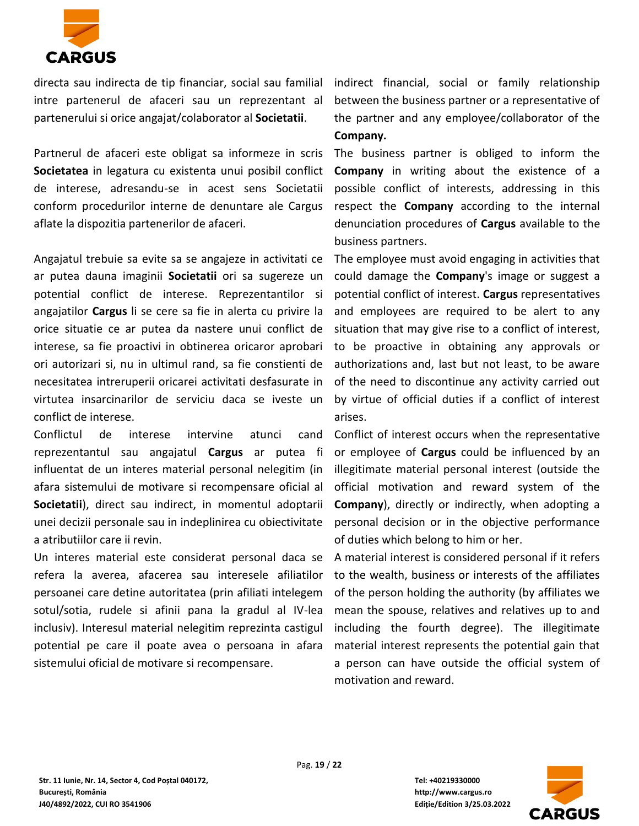

directa sau indirecta de tip financiar, social sau familial intre partenerul de afaceri sau un reprezentant al partenerului si orice angajat/colaborator al **Societatii**.

Partnerul de afaceri este obligat sa informeze in scris **Societatea** in legatura cu existenta unui posibil conflict de interese, adresandu-se in acest sens Societatii conform procedurilor interne de denuntare ale Cargus aflate la dispozitia partenerilor de afaceri.

Angajatul trebuie sa evite sa se angajeze in activitati ce ar putea dauna imaginii **Societatii** ori sa sugereze un potential conflict de interese. Reprezentantilor si angajatilor **Cargus** li se cere sa fie in alerta cu privire la orice situatie ce ar putea da nastere unui conflict de interese, sa fie proactivi in obtinerea oricaror aprobari ori autorizari si, nu in ultimul rand, sa fie constienti de necesitatea intreruperii oricarei activitati desfasurate in virtutea insarcinarilor de serviciu daca se iveste un conflict de interese.

Conflictul de interese intervine atunci cand reprezentantul sau angajatul **Cargus** ar putea fi influentat de un interes material personal nelegitim (in afara sistemului de motivare si recompensare oficial al **Societatii**), direct sau indirect, in momentul adoptarii unei decizii personale sau in indeplinirea cu obiectivitate a atributiilor care ii revin.

Un interes material este considerat personal daca se refera la averea, afacerea sau interesele afiliatilor persoanei care detine autoritatea (prin afiliati intelegem sotul/sotia, rudele si afinii pana la gradul al IV-lea inclusiv). Interesul material nelegitim reprezinta castigul potential pe care il poate avea o persoana in afara sistemului oficial de motivare si recompensare.

indirect financial, social or family relationship between the business partner or a representative of the partner and any employee/collaborator of the **Company.**

The business partner is obliged to inform the **Company** in writing about the existence of a possible conflict of interests, addressing in this respect the **Company** according to the internal denunciation procedures of **Cargus** available to the business partners.

The employee must avoid engaging in activities that could damage the **Company**'s image or suggest a potential conflict of interest. **Cargus** representatives and employees are required to be alert to any situation that may give rise to a conflict of interest, to be proactive in obtaining any approvals or authorizations and, last but not least, to be aware of the need to discontinue any activity carried out by virtue of official duties if a conflict of interest arises.

Conflict of interest occurs when the representative or employee of **Cargus** could be influenced by an illegitimate material personal interest (outside the official motivation and reward system of the **Company**), directly or indirectly, when adopting a personal decision or in the objective performance of duties which belong to him or her.

A material interest is considered personal if it refers to the wealth, business or interests of the affiliates of the person holding the authority (by affiliates we mean the spouse, relatives and relatives up to and including the fourth degree). The illegitimate material interest represents the potential gain that a person can have outside the official system of motivation and reward.

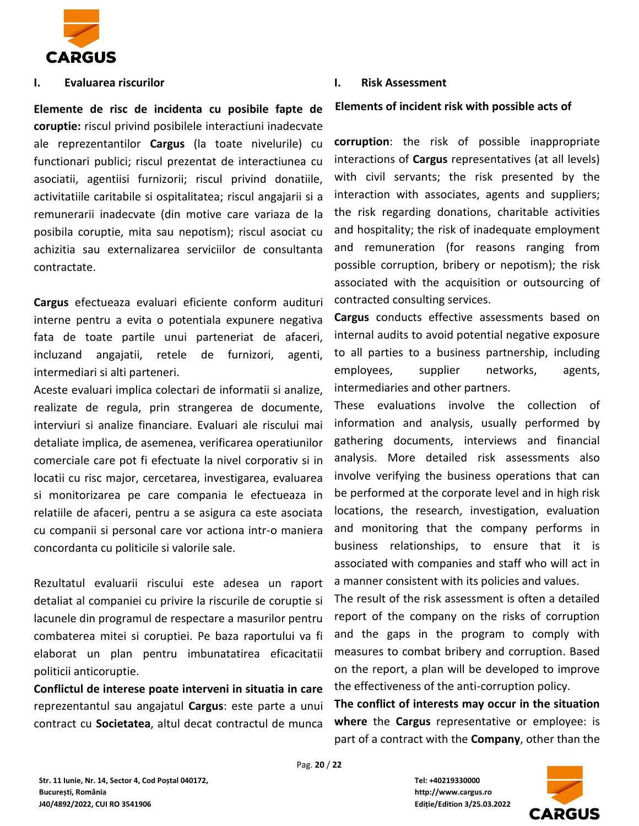

#### **I. Evaluarea riscurilor**

**Elemente de risc de incidenta cu posibile fapte de coruptie:** riscul privind posibilele interactiuni inadecvate ale reprezentantilor **Cargus** (la toate nivelurile) cu functionari publici; riscul prezentat de interactiunea cu asociatii, agentiisi furnizorii; riscul privind donatiile, activitatiile caritabile si ospitalitatea; riscul angajarii si a remunerarii inadecvate (din motive care variaza de la posibila coruptie, mita sau nepotism); riscul asociat cu achizitia sau externalizarea serviciilor de consultanta contractate.

**Cargus** efectueaza evaluari eficiente conform audituri interne pentru a evita o potentiala expunere negativa fata de toate partile unui parteneriat de afaceri, incluzand angajatii, retele de furnizori, agenti, intermediari si alti parteneri.

Aceste evaluari implica colectari de informatii si analize, realizate de regula, prin strangerea de documente, interviuri si analize financiare. Evaluari ale riscului mai detaliate implica, de asemenea, verificarea operatiunilor comerciale care pot fi efectuate la nivel corporativ si in locatii cu risc major, cercetarea, investigarea, evaluarea si monitorizarea pe care compania le efectueaza in relatiile de afaceri, pentru a se asigura ca este asociata cu companii si personal care vor actiona intr-o maniera concordanta cu politicile si valorile sale.

Rezultatul evaluarii riscului este adesea un raport detaliat al companiei cu privire la riscurile de coruptie si lacunele din programul de respectare a masurilor pentru combaterea mitei si coruptiei. Pe baza raportului va fi elaborat un plan pentru imbunatatirea eficacitatii politicii anticoruptie.

**Conflictul de interese poate interveni in situatia in care** reprezentantul sau angajatul **Cargus**: este parte a unui contract cu **Societatea**, altul decat contractul de munca

#### **I. Risk Assessment**

#### **Elements of incident risk with possible acts of**

**corruption**: the risk of possible inappropriate interactions of **Cargus** representatives (at all levels) with civil servants; the risk presented by the interaction with associates, agents and suppliers; the risk regarding donations, charitable activities and hospitality; the risk of inadequate employment and remuneration (for reasons ranging from possible corruption, bribery or nepotism); the risk associated with the acquisition or outsourcing of contracted consulting services.

**Cargus** conducts effective assessments based on internal audits to avoid potential negative exposure to all parties to a business partnership, including employees, supplier networks, agents, intermediaries and other partners.

These evaluations involve the collection of information and analysis, usually performed by gathering documents, interviews and financial analysis. More detailed risk assessments also involve verifying the business operations that can be performed at the corporate level and in high risk locations, the research, investigation, evaluation and monitoring that the company performs in business relationships, to ensure that it is associated with companies and staff who will act in a manner consistent with its policies and values.

The result of the risk assessment is often a detailed report of the company on the risks of corruption and the gaps in the program to comply with measures to combat bribery and corruption. Based on the report, a plan will be developed to improve the effectiveness of the anti-corruption policy.

**The conflict of interests may occur in the situation where** the **Cargus** representative or employee: is part of a contract with the **Company**, other than the

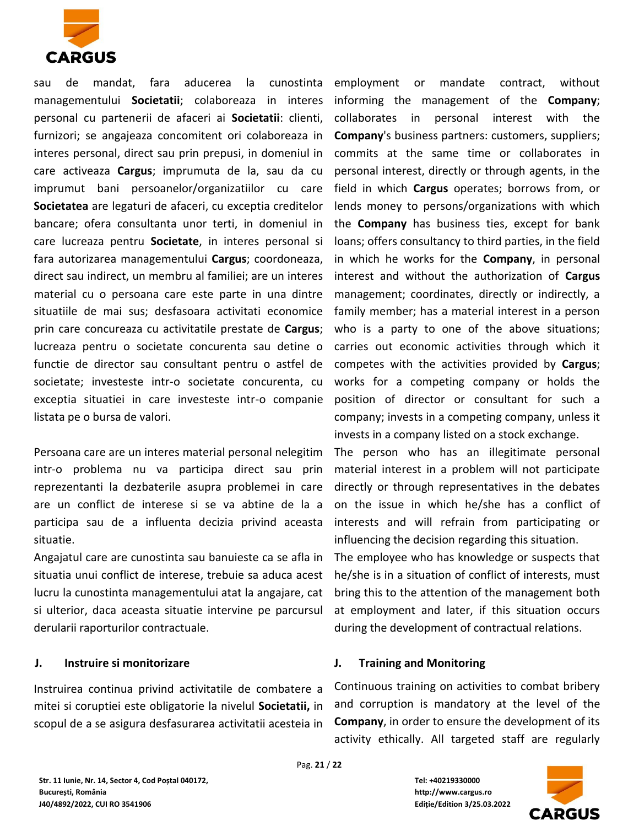

sau de mandat, fara aducerea la cunostinta managementului **Societatii**; colaboreaza in interes personal cu partenerii de afaceri ai **Societatii**: clienti, furnizori; se angajeaza concomitent ori colaboreaza in interes personal, direct sau prin prepusi, in domeniul in care activeaza **Cargus**; imprumuta de la, sau da cu imprumut bani persoanelor/organizatiilor cu care **Societatea** are legaturi de afaceri, cu exceptia creditelor bancare; ofera consultanta unor terti, in domeniul in care lucreaza pentru **Societate**, in interes personal si fara autorizarea managementului **Cargus**; coordoneaza, direct sau indirect, un membru al familiei; are un interes material cu o persoana care este parte in una dintre situatiile de mai sus; desfasoara activitati economice prin care concureaza cu activitatile prestate de **Cargus**; lucreaza pentru o societate concurenta sau detine o functie de director sau consultant pentru o astfel de societate; investeste intr-o societate concurenta, cu exceptia situatiei in care investeste intr-o companie listata pe o bursa de valori.

Persoana care are un interes material personal nelegitim intr-o problema nu va participa direct sau prin reprezentanti la dezbaterile asupra problemei in care are un conflict de interese si se va abtine de la a participa sau de a influenta decizia privind aceasta situatie.

Angajatul care are cunostinta sau banuieste ca se afla in situatia unui conflict de interese, trebuie sa aduca acest lucru la cunostinta managementului atat la angajare, cat si ulterior, daca aceasta situatie intervine pe parcursul derularii raporturilor contractuale.

#### **J. Instruire si monitorizare**

Instruirea continua privind activitatile de combatere a mitei si coruptiei este obligatorie la nivelul **Societatii,** in scopul de a se asigura desfasurarea activitatii acesteia in employment or mandate contract, without informing the management of the **Company**; collaborates in personal interest with the **Company**'s business partners: customers, suppliers; commits at the same time or collaborates in personal interest, directly or through agents, in the field in which **Cargus** operates; borrows from, or lends money to persons/organizations with which the **Company** has business ties, except for bank loans; offers consultancy to third parties, in the field in which he works for the **Company**, in personal interest and without the authorization of **Cargus** management; coordinates, directly or indirectly, a family member; has a material interest in a person who is a party to one of the above situations; carries out economic activities through which it competes with the activities provided by **Cargus**; works for a competing company or holds the position of director or consultant for such a company; invests in a competing company, unless it invests in a company listed on a stock exchange.

The person who has an illegitimate personal material interest in a problem will not participate directly or through representatives in the debates on the issue in which he/she has a conflict of interests and will refrain from participating or influencing the decision regarding this situation.

The employee who has knowledge or suspects that he/she is in a situation of conflict of interests, must bring this to the attention of the management both at employment and later, if this situation occurs during the development of contractual relations.

#### **J. Training and Monitoring**

Continuous training on activities to combat bribery and corruption is mandatory at the level of the **Company**, in order to ensure the development of its activity ethically. All targeted staff are regularly

**Str. 11 Iunie, Nr. 14, Sector 4, Cod Poștal 040172, Tel: +40219330000 București, România http://www.cargus.ro J40/4892/2022, CUI RO 3541906 Ediție/Edition 3/25.03.2022**